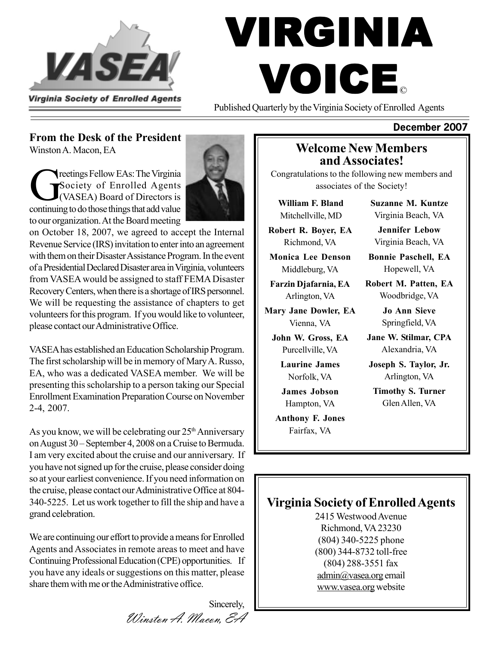

# VIRGINIA VOICE ©

Published Quarterly by the Virginia Society of Enrolled Agents

#### **From the Desk of the President**

Winston A. Macon, EA

reetings Fellow EAs: The Virginia Society of Enrolled Agents (VASEA) Board of Directors is continuing to do those things that add value to our organization. At the Board meeting



on October 18, 2007, we agreed to accept the Internal Revenue Service (IRS) invitation to enter into an agreement with them on their Disaster Assistance Program. In the event of a Presidential Declared Disaster area in Virginia, volunteers from VASEA would be assigned to staff FEMA Disaster Recovery Centers, when there is a shortage of IRS personnel. We will be requesting the assistance of chapters to get volunteers for this program. If you would like to volunteer, please contact our Administrative Office.

VASEA has established an Education Scholarship Program. The first scholarship will be in memory of Mary A. Russo, EA, who was a dedicated VASEA member. We will be presenting this scholarship to a person taking our Special Enrollment Examination Preparation Course on November 2-4, 2007.

As you know, we will be celebrating our  $25<sup>th</sup>$  Anniversary on August 30 – September 4, 2008 on a Cruise to Bermuda. I am very excited about the cruise and our anniversary. If you have not signed up for the cruise, please consider doing so at your earliest convenience. If you need information on the cruise, please contact our Administrative Office at 804- 340-5225. Let us work together to fill the ship and have a grand celebration.

We are continuing our effort to provide a means for Enrolled Agents and Associates in remote areas to meet and have Continuing Professional Education (CPE) opportunities. If you have any ideals or suggestions on this matter, please share them with me or the Administrative office.

> Sincerely, Winston A. Macon, EA

#### **Welcome New Members and Associates!**

Congratulations to the following new members and associates of the Society!

**William F. Bland** Mitchellville, MD

**Robert R. Boyer, EA** Richmond, VA

**Monica Lee Denson** Middleburg, VA

**Farzin Djafarnia, EA** Arlington, VA

**Mary Jane Dowler, EA** Vienna, VA

**John W. Gross, EA** Purcellville, VA

> **Laurine James** Norfolk, VA

**James Jobson** Hampton, VA

**Anthony F. Jones** Fairfax, VA

**Suzanne M. Kuntze** Virginia Beach, VA

**Jennifer Lebow** Virginia Beach, VA

**Bonnie Paschell, EA** Hopewell, VA

**Robert M. Patten, EA** Woodbridge, VA

> **Jo Ann Sieve** Springfield, VA

**Jane W. Stilmar, CPA** Alexandria, VA

**Joseph S. Taylor, Jr.** Arlington, VA

**Timothy S. Turner** Glen Allen, VA

## **Virginia Society of Enrolled Agents**

2415 Westwood Avenue Richmond, VA 23230 (804) 340-5225 phone (800) 344-8732 toll-free (804) 288-3551 fax admin@vasea.org email www.vasea.org website

#### **December 2007**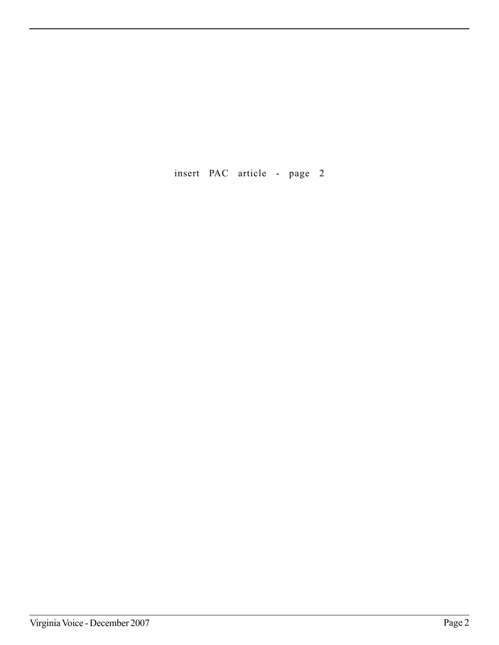insert PAC article - page 2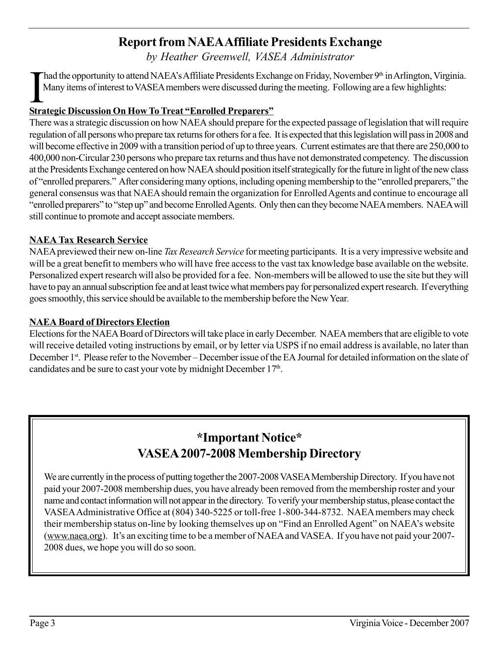# **Report from NAEA Affiliate Presidents Exchange**

*by Heather Greenwell, VASEA Administrator*

I had the opportunity to attend NAEA's Affiliate Presidents Exch<br>Many items of interest to VASEA members were discussed duri<br>Strategic Discussion On How To Treat "Enrolled Preparers" had the opportunity to attend NAEA's Affiliate Presidents Exchange on Friday, November 9<sup>th</sup> in Arlington, Virginia. Many items of interest to VASEA members were discussed during the meeting. Following are a few highlights:

There was a strategic discussion on how NAEA should prepare for the expected passage of legislation that will require regulation of all persons who prepare tax returns for others for a fee. It is expected that this legislation will pass in 2008 and will become effective in 2009 with a transition period of up to three years. Current estimates are that there are 250,000 to 400,000 non-Circular 230 persons who prepare tax returns and thus have not demonstrated competency. The discussion at the Presidents Exchange centered on how NAEA should position itself strategically for the future in light of the new class of "enrolled preparers." After considering many options, including opening membership to the "enrolled preparers," the general consensus was that NAEA should remain the organization for Enrolled Agents and continue to encourage all "enrolled preparers" to "step up" and become Enrolled Agents. Only then can they become NAEA members. NAEA will still continue to promote and accept associate members.

#### **NAEA Tax Research Service**

NAEA previewed their new on-line *Tax Research Service* for meeting participants. It is a very impressive website and will be a great benefit to members who will have free access to the vast tax knowledge base available on the website. Personalized expert research will also be provided for a fee. Non-members will be allowed to use the site but they will have to pay an annual subscription fee and at least twice what members pay for personalized expert research. If everything goes smoothly, this service should be available to the membership before the New Year*.*

#### **NAEA Board of Directors Election**

Elections for the NAEA Board of Directors will take place in early December. NAEA members that are eligible to vote will receive detailed voting instructions by email, or by letter via USPS if no email address is available, no later than December 1<sup>st</sup>. Please refer to the November – December issue of the EA Journal for detailed information on the slate of candidates and be sure to cast your vote by midnight December 17<sup>th</sup>.

# **\*Important Notice\* VASEA 2007-2008 Membership Directory**

We are currently in the process of putting together the 2007-2008 VASEA Membership Directory. If you have not paid your 2007-2008 membership dues, you have already been removed from the membership roster and your name and contact information will not appear in the directory. To verify your membership status, please contact the VASEA Administrative Office at (804) 340-5225 or toll-free 1-800-344-8732. NAEA members may check their membership status on-line by looking themselves up on "Find an Enrolled Agent" on NAEA's website (www.naea.org). It's an exciting time to be a member of NAEA and VASEA. If you have not paid your 2007- 2008 dues, we hope you will do so soon.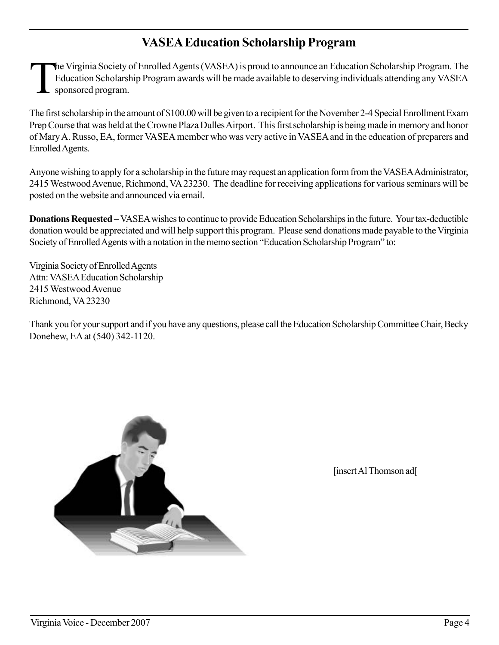# **VASEA Education Scholarship Program**

The Virginia Society of Enrolled Agents (VASEA) is proud to announce an Education Scholarship Program. The Education Scholarship Program awards will be made available to deserving individuals attending any VASEA sponsored program.

The first scholarship in the amount of \$100.00 will be given to a recipient for the November 2-4 Special Enrollment Exam Prep Course that was held at the Crowne Plaza Dulles Airport. This first scholarship is being made in memory and honor of Mary A. Russo, EA, former VASEA member who was very active in VASEA and in the education of preparers and Enrolled Agents.

Anyone wishing to apply for a scholarship in the future may request an application form from the VASEA Administrator, 2415 Westwood Avenue, Richmond, VA 23230. The deadline for receiving applications for various seminars will be posted on the website and announced via email.

**Donations Requested** – VASEA wishes to continue to provide Education Scholarships in the future. Your tax-deductible donation would be appreciated and will help support this program. Please send donations made payable to the Virginia Society of Enrolled Agents with a notation in the memo section "Education Scholarship Program" to:

Virginia Society of Enrolled Agents Attn: VASEA Education Scholarship 2415 Westwood Avenue Richmond, VA 23230

Thank you for your support and if you have any questions, please call the Education Scholarship Committee Chair, Becky Donehew, EA at (540) 342-1120.



[insert Al Thomson ad]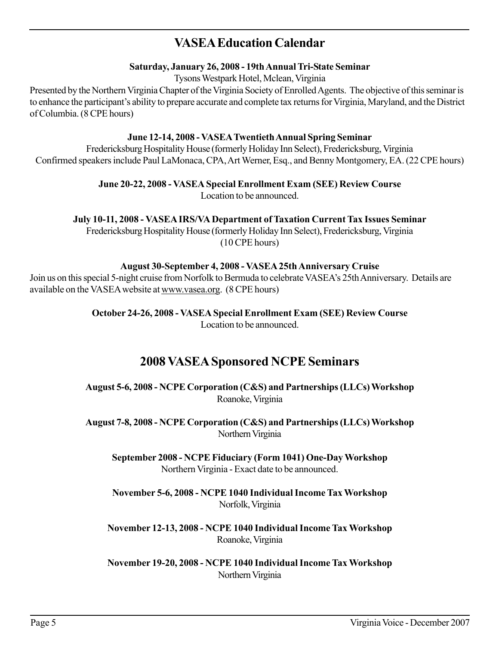## **VASEA Education Calendar**

#### **Saturday, January 26, 2008 - 19th Annual Tri-State Seminar**

Tysons Westpark Hotel, Mclean, Virginia

Presented by the Northern Virginia Chapter of the Virginia Society of Enrolled Agents. The objective of this seminar is to enhance the participant's ability to prepare accurate and complete tax returns for Virginia, Maryland, and the District of Columbia. (8 CPE hours)

#### **June 12-14, 2008 - VASEA Twentieth Annual Spring Seminar**

Fredericksburg Hospitality House (formerly Holiday Inn Select), Fredericksburg, Virginia Confirmed speakers include Paul LaMonaca, CPA, Art Werner, Esq., and Benny Montgomery, EA. (22 CPE hours)

> **June 20-22, 2008 - VASEA Special Enrollment Exam (SEE) Review Course** Location to be announced.

**July 10-11, 2008 - VASEA IRS/VA Department of Taxation Current Tax Issues Seminar**

Fredericksburg Hospitality House (formerly Holiday Inn Select), Fredericksburg, Virginia (10 CPE hours)

#### **August 30-September 4, 2008 - VASEA 25th Anniversary Cruise**

Join us on this special 5-night cruise from Norfolk to Bermuda to celebrate VASEA's 25th Anniversary. Details are available on the VASEA website at www.vasea.org. (8 CPE hours)

> **October 24-26, 2008 - VASEA Special Enrollment Exam (SEE) Review Course** Location to be announced.

#### **2008 VASEA Sponsored NCPE Seminars**

**August 5-6, 2008 - NCPE Corporation (C&S) and Partnerships (LLCs) Workshop** Roanoke, Virginia

**August 7-8, 2008 - NCPE Corporation (C&S) and Partnerships (LLCs) Workshop** Northern Virginia

**September 2008 - NCPE Fiduciary (Form 1041) One-Day Workshop** Northern Virginia - Exact date to be announced.

**November 5-6, 2008 - NCPE 1040 Individual Income Tax Workshop** Norfolk, Virginia

**November 12-13, 2008 - NCPE 1040 Individual Income Tax Workshop** Roanoke, Virginia

**November 19-20, 2008 - NCPE 1040 Individual Income Tax Workshop** Northern Virginia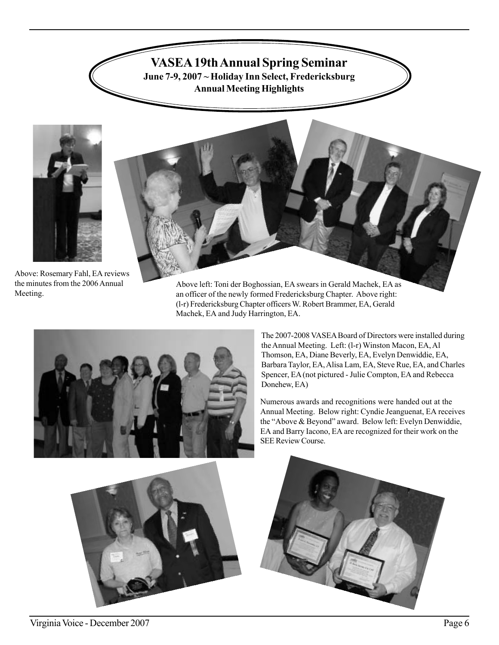

**June 7-9, 2007 ~ Holiday Inn Select, Fredericksburg Annual Meeting Highlights**





Above: Rosemary Fahl, EA reviews the minutes from the 2006 Annual Meeting.

Above left: Toni der Boghossian, EA swears in Gerald Machek, EA as an officer of the newly formed Fredericksburg Chapter. Above right: (l-r) Fredericksburg Chapter officers W. Robert Brammer, EA, Gerald Machek, EA and Judy Harrington, EA.



The 2007-2008 VASEA Board of Directors were installed during the Annual Meeting. Left: (l-r) Winston Macon, EA, Al Thomson, EA, Diane Beverly, EA, Evelyn Denwiddie, EA, Barbara Taylor, EA, Alisa Lam, EA, Steve Rue, EA, and Charles Spencer, EA (not pictured - Julie Compton, EA and Rebecca Donehew, EA)

Numerous awards and recognitions were handed out at the Annual Meeting. Below right: Cyndie Jeanguenat, EA receives the "Above & Beyond" award. Below left: Evelyn Denwiddie, EA and Barry Iacono, EA are recognized for their work on the SEE Review Course.



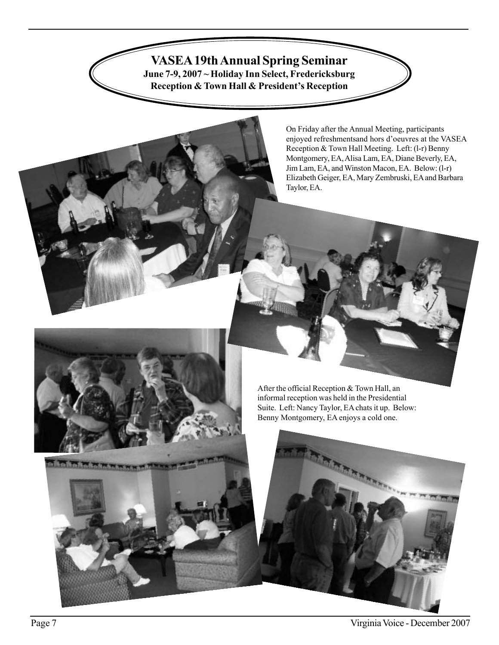**VASEA 19th Annual Spring Seminar**

**June 7-9, 2007 ~ Holiday Inn Select, Fredericksburg Reception & Town Hall & President's Reception**

> On Friday after the Annual Meeting, participants enjoyed refreshmentsand hors d'oeuvres at the VASEA Reception & Town Hall Meeting. Left: (l-r) Benny Montgomery, EA, Alisa Lam, EA, Diane Beverly, EA, Jim Lam, EA, and Winston Macon, EA. Below: (l-r) Elizabeth Geiger, EA, Mary Zembruski, EA and Barbara Taylor, EA.



After the official Reception & Town Hall, an informal reception was held in the Presidential Suite. Left: Nancy Taylor, EA chats it up. Below: Benny Montgomery, EA enjoys a cold one.